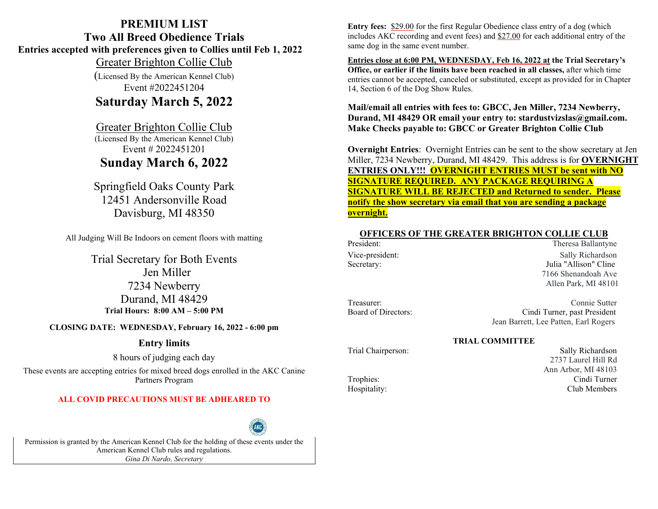## **PREMIUM LIST Two All Breed Obedience Trials Entries accepted with preferences given to Collies until Feb 1, 2022**  Greater Brighton Collie Club

(Licensed By the American Kennel Club) Event #2022451204

## **Saturday March 5, 2022**

## Greater Brighton Collie Club

(Licensed By the American Kennel Club) Event # 2022451201

# **Sunday March 6, 2022**

Springfield Oaks County Park 12451 Andersonville Road Davisburg, MI 48350

All Judging Will Be Indoors on cement floors with matting

Trial Secretary for Both Events Jen Miller 7234 Newberry Durand, MI 48429 **Trial Hours: 8:00 AM – 5:00 PM**

**CLOSING DATE: WEDNESDAY, February 16, 2022 - 6:00 pm**

## **Entry limits**

8 hours of judging each day

These events are accepting entries for mixed breed dogs enrolled in the AKC Canine Partners Program

## **ALL COVID PRECAUTIONS MUST BE ADHEARED TO**



Permission is granted by the American Kennel Club for the holding of these events under the American Kennel Club rules and regulations. *Gina Di Nardo, Secretary*

**Entry fees:** \$29.00 for the first Regular Obedience class entry of a dog (which includes AKC recording and event fees) and \$27.00 for each additional entry of the same dog in the same event number.

**Entries close at 6:00 PM, WEDNESDAY, Feb 16, 2022 at the Trial Secretary's Office, or earlier if the limits have been reached in all classes,** after which time entries cannot be accepted, canceled or substituted, except as provided for in Chapter 14, Section 6 of the Dog Show Rules.

## **Mail/email all entries with fees to: GBCC, Jen Miller, 7234 Newberry, Durand, MI 48429 OR email your entry to: stardustvizslas@gmail.com. Make Checks payable to: GBCC or Greater Brighton Collie Club**

**Overnight Entries**: Overnight Entries can be sent to the show secretary at Jen Miller, 7234 Newberry, Durand, MI 48429. This address is for **OVERNIGHT ENTRIES ONLY!!! OVERNIGHT ENTRIES MUST be sent with NO SIGNATURE REQUIRED. ANY PACKAGE REQUIRING A SIGNATURE WILL BE REJECTED and Returned to sender. Please notify the show secretary via email that you are sending a package overnight.** 

# **OFFICERS OF THE GREATER BRIGHTON COLLIE CLUB**<br>President: Theresa Ballanty

Theresa Ballantyne Vice-president: Sally Richardson Secretary: Julia "Allison" Cline 7166 Shenandoah Ave Allen Park, MI 48101

Treasurer: Connie Sutter

Board of Directors: Cindi Turner, past President Jean Barrett, Lee Patten, Earl Rogers

### **TRIAL COMMITTEE**

Trial Chairperson: Sally Richardson 2737 Laurel Hill Rd Ann Arbor, MI 48103 Trophies: Cindi Turner Hospitality: Club Members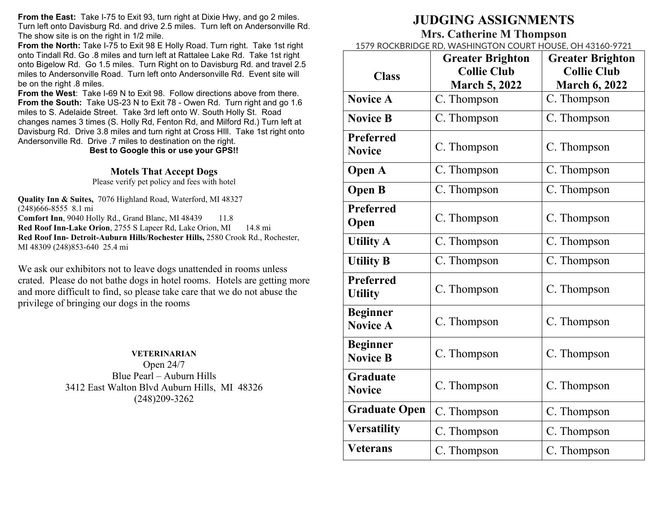**From the East:** Take I-75 to Exit 93, turn right at Dixie Hwy, and go 2 miles. Turn left onto Davisburg Rd. and drive 2.5 miles. Turn left on Andersonville Rd. The show site is on the right in 1/2 mile.

From the North: Take I-75 to Exit 98 E Holly Road. Turn right. Take 1st right onto Tindall Rd. Go .8 miles and turn left at Rattalee Lake Rd. Take 1st right onto Bigelow Rd. Go 1.5 miles. Turn Right on to Davisburg Rd. and travel 2.5 miles to Andersonville Road. Turn left onto Andersonville Rd. Event site will be on the right .8 miles.

**From the West**: Take I-69 N to Exit 98. Follow directions above from there. **From the South:** Take US-23 N to Exit 78 - Owen Rd. Turn right and go 1.6 miles to S. Adelaide Street. Take 3rd left onto W. South Holly St. Road changes names 3 times (S. Holly Rd, Fenton Rd, and Milford Rd.) Turn left at Davisburg Rd. Drive 3.8 miles and turn right at Cross HIll. Take 1st right onto Andersonville Rd. Drive .7 miles to destination on the right.

**Best to Google this or use your GPS!!**

### **Motels That Accept Dogs**

Please verify pet policy and fees with hotel

**Quality Inn & Suites,** 7076 Highland Road, Waterford, MI 48327 (248)666-8555 8.1 mi **Comfort Inn**, 9040 Holly Rd., Grand Blanc, MI 48439 11.8 **Red Roof Inn-Lake Orion**, 2755 S Lapeer Rd, Lake Orion, MI 14.8 mi **Red Roof Inn- Detroit-Auburn Hills/Rochester Hills,** 2580 Crook Rd., Rochester, MI 48309 (248)853-640 25.4 mi

We ask our exhibitors not to leave dogs unattended in rooms unless crated. Please do not bathe dogs in hotel rooms. Hotels are getting more and more difficult to find, so please take care that we do not abuse the privilege of bringing our dogs in the rooms

### **VETERINARIAN**

Open 24/7 Blue Pearl – Auburn Hills 3412 East Walton Blvd Auburn Hills, MI 48326 (248)209-3262

# **JUDGING ASSIGNMENTS**

## **Mrs. Catherine M Thompson**

1579 ROCKBRIDGE RD, WASHINGTON COURT HOUSE, OH 43160-9721

|                                    | <b>Greater Brighton</b> | <b>Greater Brighton</b> |  |  |
|------------------------------------|-------------------------|-------------------------|--|--|
| <b>Class</b>                       | <b>Collie Club</b>      | <b>Collie Club</b>      |  |  |
|                                    | <b>March 5, 2022</b>    | <b>March 6, 2022</b>    |  |  |
| <b>Novice A</b>                    | C. Thompson             | C. Thompson             |  |  |
| <b>Novice B</b>                    | C. Thompson             | C. Thompson             |  |  |
| <b>Preferred</b><br><b>Novice</b>  | C. Thompson             | C. Thompson             |  |  |
| <b>Open A</b>                      | C. Thompson             | C. Thompson             |  |  |
| <b>Open B</b>                      | C. Thompson             | C. Thompson             |  |  |
| <b>Preferred</b><br>Open           | C. Thompson             | C. Thompson             |  |  |
| <b>Utility A</b>                   | C. Thompson             | C. Thompson             |  |  |
| <b>Utility B</b>                   | C. Thompson             | C. Thompson             |  |  |
| <b>Preferred</b><br><b>Utility</b> | C. Thompson             | C. Thompson             |  |  |
| <b>Beginner</b><br><b>Novice A</b> | C. Thompson             | C. Thompson             |  |  |
| <b>Beginner</b><br><b>Novice B</b> | C. Thompson             | C. Thompson             |  |  |
| <b>Graduate</b><br><b>Novice</b>   | C. Thompson             | C. Thompson             |  |  |
| <b>Graduate Open</b>               | C. Thompson             | C. Thompson             |  |  |
| <b>Versatility</b>                 | C. Thompson             | C. Thompson             |  |  |
| <b>Veterans</b>                    | C. Thompson             | C. Thompson             |  |  |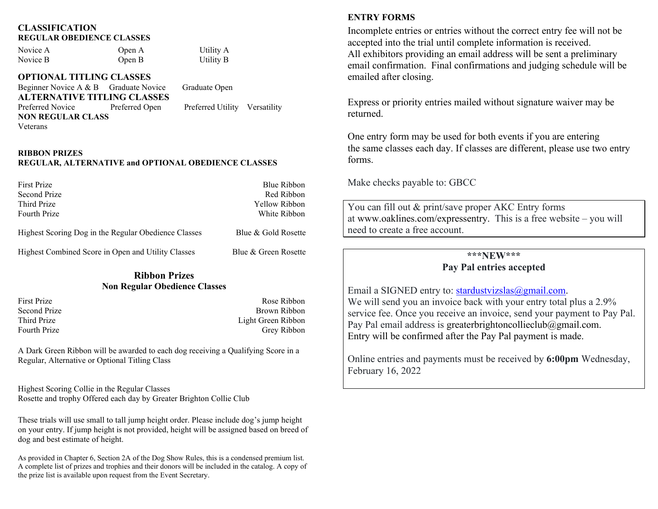### **CLASSIFICATION REGULAR OBEDIENCE CLASSES**

Novice A Open A Utility A Novice B Open B Utility B

**OPTIONAL TITLING CLASSES**

Beginner Novice A & B Graduate Novice Graduate Open **ALTERNATIVE TITLING CLASSES** Preferred Novice Preferred Open Preferred Utility Versatility **NON REGULAR CLASS** Veterans

#### **RIBBON PRIZES**

## **REGULAR, ALTERNATIVE and OPTIONAL OBEDIENCE CLASSES**

| First Prize                                          | Blue Ribbon         |
|------------------------------------------------------|---------------------|
| Second Prize                                         | Red Ribbon          |
| Third Prize                                          | Yellow Ribbon       |
| <b>Fourth Prize</b>                                  | White Ribbon        |
| Highest Scoring Dog in the Regular Obedience Classes | Blue & Gold Rosette |

Highest Combined Score in Open and Utility Classes Blue & Green Rosette

## **Ribbon Prizes Non Regular Obedience Classes**

First Prize Rose Ribbon Second Prize Brown Ribbon<br>
Third Prize Brown Ribbon<br>
Third Prize Brown Ribbon<br>
Third Prize Brown Ribbon Light Green Ribbon Fourth Prize Grey Ribbon

A Dark Green Ribbon will be awarded to each dog receiving a Qualifying Score in a Regular, Alternative or Optional Titling Class

Highest Scoring Collie in the Regular Classes Rosette and trophy Offered each day by Greater Brighton Collie Club

These trials will use small to tall jump height order. Please include dog's jump height on your entry. If jump height is not provided, height will be assigned based on breed of dog and best estimate of height.

As provided in Chapter 6, Section 2A of the Dog Show Rules, this is a condensed premium list. A complete list of prizes and trophies and their donors will be included in the catalog. A copy of the prize list is available upon request from the Event Secretary.

## **ENTRY FORMS**

Incomplete entries or entries without the correct entry fee will not be accepted into the trial until complete information is received. All exhibitors providing an email address will be sent a preliminary email confirmation. Final confirmations and judging schedule will be emailed after closing.

Express or priority entries mailed without signature waiver may be returned.

One entry form may be used for both events if you are entering the same classes each day. If classes are different, please use two entry forms.

Make checks payable to: GBCC

You can fill out & print/save proper AKC Entry forms at [www.oaklines.com/expressentry.](http://www.oaklines.com/expressentry) This is a free website – you will need to create a free account.

## **\*\*\*NEW\*\*\***

## **Pay Pal entries accepted**

Email a SIGNED entry to: stardustyizslas@gmail.com. We will send you an invoice back with your entry total plus a 2.9% service fee. Once you receive an invoice, send your payment to Pay Pal. Pay Pal email address is [greaterbrightoncollieclub@gmail.com.](mailto:greaterbrightoncollieclub@gmail.com) Entry will be confirmed after the Pay Pal payment is made.

Online entries and payments must be received by **6:00pm** Wednesday, February 16, 2022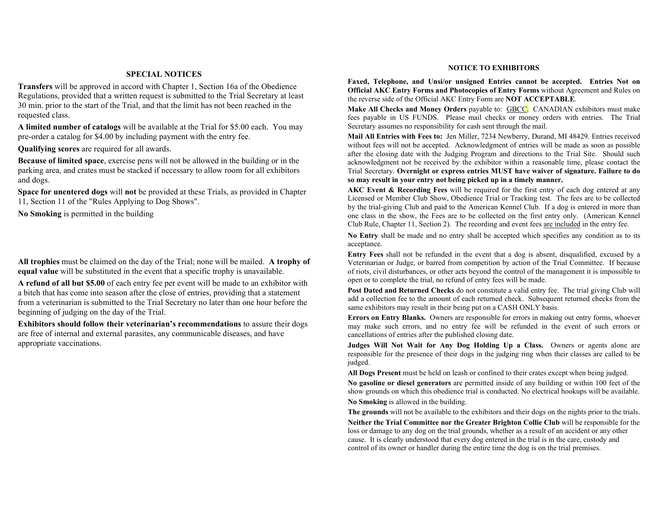#### **SPECIAL NOTICES**

**Transfers** will be approved in accord with Chapter 1, Section 16a of the Obedience Regulations, provided that a written request is submitted to the Trial Secretary at least 30 min. prior to the start of the Trial, and that the limit has not been reached in the requested class.

**A limited number of catalogs** will be available at the Trial for \$5.00 each. You may pre-order a catalog for \$4.00 by including payment with the entry fee.

**Qualifying scores** are required for all awards.

**Because of limited space**, exercise pens will not be allowed in the building or in the parking area, and crates must be stacked if necessary to allow room for all exhibitors and dogs.

**Space for unentered dogs** will **not** be provided at these Trials, as provided in Chapter 11, Section 11 of the "Rules Applying to Dog Shows".

**No Smoking** is permitted in the building

**All trophies** must be claimed on the day of the Trial; none will be mailed. **A trophy of equal value** will be substituted in the event that a specific trophy is unavailable.

**A refund of all but \$5.00** of each entry fee per event will be made to an exhibitor with a bitch that has come into season after the close of entries, providing that a statement from a veterinarian is submitted to the Trial Secretary no later than one hour before the beginning of judging on the day of the Trial.

**Exhibitors should follow their veterinarian's recommendations** to assure their dogs are free of internal and external parasites, any communicable diseases, and have appropriate vaccinations.

#### **NOTICE TO EXHIBITORS**

**Faxed, Telephone, and Unsi/or unsigned Entries cannot be accepted. Entries Not on Official AKC Entry Forms and Photocopies of Entry Forms** without Agreement and Rules on the reverse side of the Official AKC Entry Form are **NOT ACCEPTABLE**.

**Make All Checks and Money Orders** payable to: GBCC. CANADIAN exhibitors must make fees payable in US FUNDS. Please mail checks or money orders with entries. The Trial Secretary assumes no responsibility for cash sent through the mail.

**Mail All Entries with Fees to:** Jen Miller, 7234 Newberry, Durand, MI 48429. Entries received without fees will not be accepted. Acknowledgment of entries will be made as soon as possible after the closing date with the Judging Program and directions to the Trial Site. Should such acknowledgment not be received by the exhibitor within a reasonable time, please contact the Trial Secretary. **Overnight or express entries MUST have waiver of signature. Failure to do so may result in your entry not being picked up in a timely manner.**

**AKC Event & Recording Fees** will be required for the first entry of each dog entered at any Licensed or Member Club Show, Obedience Trial or Tracking test. The fees are to be collected by the trial-giving Club and paid to the American Kennel Club. If a dog is entered in more than one class in the show, the Fees are to be collected on the first entry only. (American Kennel Club Rule, Chapter 11, Section 2). The recording and event fees are included in the entry fee.

**No Entry** shall be made and no entry shall be accepted which specifies any condition as to its acceptance.

**Entry Fees** shall not be refunded in the event that a dog is absent, disqualified, excused by a Veterinarian or Judge, or barred from competition by action of the Trial Committee. If because of riots, civil disturbances, or other acts beyond the control of the management it is impossible to open or to complete the trial, no refund of entry fees will be made.

**Post Dated and Returned Checks** do not constitute a valid entry fee. The trial giving Club will add a collection fee to the amount of each returned check. Subsequent returned checks from the same exhibitors may result in their being put on a CASH ONLY basis.

**Errors on Entry Blanks.** Owners are responsible for errors in making out entry forms, whoever may make such errors, and no entry fee will be refunded in the event of such errors or cancellations of entries after the published closing date.

**Judges Will Not Wait for Any Dog Holding Up a Class.** Owners or agents alone are responsible for the presence of their dogs in the judging ring when their classes are called to be judged.

**All Dogs Present** must be held on leash or confined to their crates except when being judged.

**No gasoline or diesel generators** are permitted inside of any building or within 100 feet of the show grounds on which this obedience trial is conducted. No electrical hookups will be available.

**No Smoking** is allowed in the building.

**The grounds** will not be available to the exhibitors and their dogs on the nights prior to the trials.

**Neither the Trial Committee nor the Greater Brighton Collie Club** will be responsible for the loss or damage to any dog on the trial grounds, whether as a result of an accident or any other cause. It is clearly understood that every dog entered in the trial is in the care, custody and control of its owner or handler during the entire time the dog is on the trial premises.